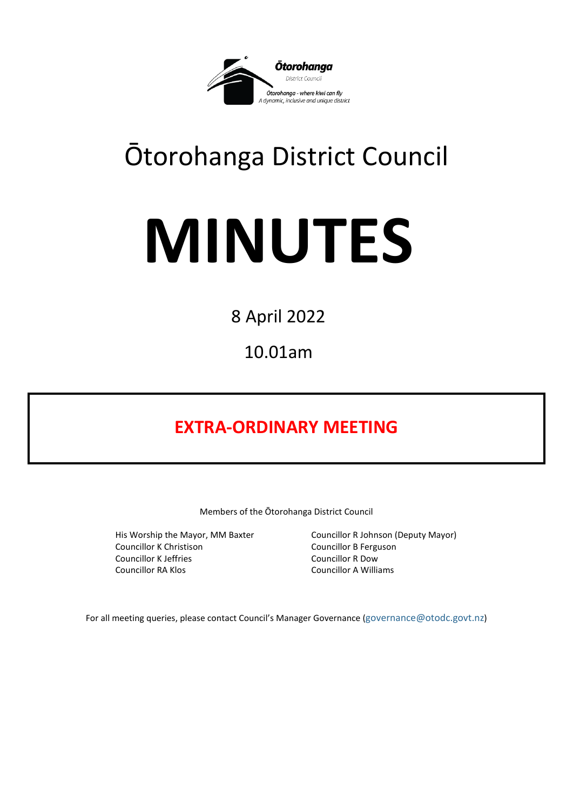

## Ōtorohanga District Council

# **MINUTES**

8 April 2022

10.01am

### **EXTRA-ORDINARY MEETING**

Members of the Ōtorohanga District Council

Councillor K Christison Councillor B Ferguson Councillor K Jeffries Councillor R Dow Councillor RA Klos Councillor A Williams

His Worship the Mayor, MM Baxter Councillor R Johnson (Deputy Mayor)

For all meeting queries, please contact Council's Manager Governance [\(governance@otodc.govt.nz\)](mailto:governance@otodc.govt.nz)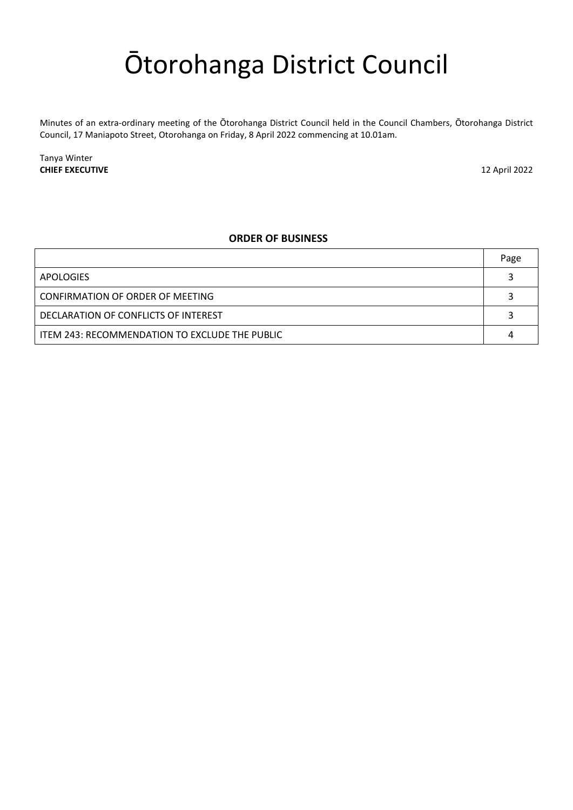## Ōtorohanga District Council

Minutes of an extra-ordinary meeting of the Ōtorohanga District Council held in the Council Chambers, Ōtorohanga District Council, 17 Maniapoto Street, Otorohanga on Friday, 8 April 2022 commencing at 10.01am.

Tanya Winter **CHIEF EXECUTIVE** 12 April 2022

#### **ORDER OF BUSINESS**

|                                                | Page |
|------------------------------------------------|------|
| APOLOGIES                                      |      |
| CONFIRMATION OF ORDER OF MEETING               |      |
| DECLARATION OF CONFLICTS OF INTEREST           |      |
| ITEM 243: RECOMMENDATION TO EXCLUDE THE PUBLIC |      |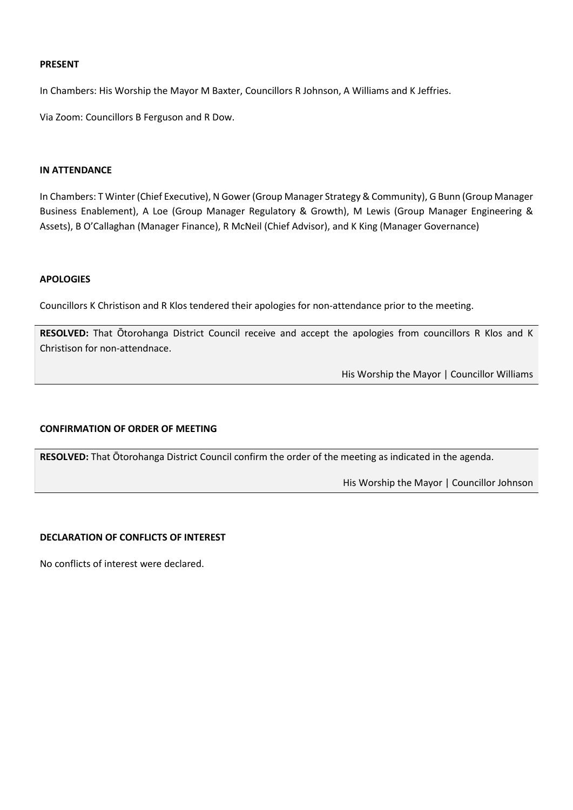#### **PRESENT**

In Chambers: His Worship the Mayor M Baxter, Councillors R Johnson, A Williams and K Jeffries.

Via Zoom: Councillors B Ferguson and R Dow.

#### **IN ATTENDANCE**

In Chambers: T Winter (Chief Executive), N Gower (Group Manager Strategy & Community), G Bunn (Group Manager Business Enablement), A Loe (Group Manager Regulatory & Growth), M Lewis (Group Manager Engineering & Assets), B O'Callaghan (Manager Finance), R McNeil (Chief Advisor), and K King (Manager Governance)

#### <span id="page-2-0"></span>**APOLOGIES**

Councillors K Christison and R Klos tendered their apologies for non-attendance prior to the meeting.

**RESOLVED:** That Ōtorohanga District Council receive and accept the apologies from councillors R Klos and K Christison for non-attendnace.

His Worship the Mayor | Councillor Williams

#### <span id="page-2-1"></span>**CONFIRMATION OF ORDER OF MEETING**

**RESOLVED:** That Ōtorohanga District Council confirm the order of the meeting as indicated in the agenda.

His Worship the Mayor | Councillor Johnson

#### <span id="page-2-2"></span>**DECLARATION OF CONFLICTS OF INTEREST**

No conflicts of interest were declared.